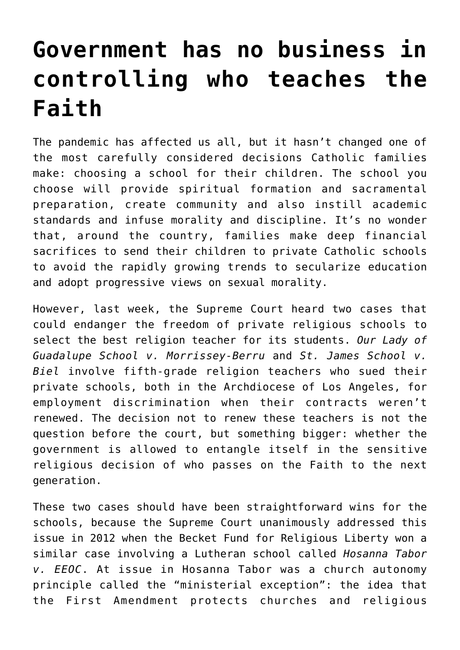## **[Government has no business in](https://www.osvnews.com/amp/2020/05/18/government-has-no-business-in-controlling-who-teaches-the-faith/) [controlling who teaches the](https://www.osvnews.com/amp/2020/05/18/government-has-no-business-in-controlling-who-teaches-the-faith/) [Faith](https://www.osvnews.com/amp/2020/05/18/government-has-no-business-in-controlling-who-teaches-the-faith/)**

The pandemic has affected us all, but it hasn't changed one of the most carefully considered decisions Catholic families make: choosing a school for their children. The school you choose will provide spiritual formation and sacramental preparation, create community and also instill academic standards and infuse morality and discipline. It's no wonder that, around the country, families make deep financial sacrifices to send their children to private Catholic schools to avoid the rapidly growing trends to secularize education and adopt progressive views on sexual morality.

However, last week, the Supreme Court heard two cases that could endanger the freedom of private religious schools to select the best religion teacher for its students. *Our Lady of Guadalupe School v. Morrissey-Berru* and *St. James School v. Biel* involve fifth-grade religion teachers who sued their private schools, both in the Archdiocese of Los Angeles, for employment discrimination when their contracts weren't renewed. The decision not to renew these teachers is not the question before the court, but something bigger: whether the government is allowed to entangle itself in the sensitive religious decision of who passes on the Faith to the next generation.

These two cases should have been straightforward wins for the schools, because the Supreme Court unanimously addressed this issue in 2012 when the Becket Fund for Religious Liberty won a similar case involving a Lutheran school called *Hosanna Tabor v. EEOC*. At issue in Hosanna Tabor was a church autonomy principle called the "ministerial exception": the idea that the First Amendment protects churches and religious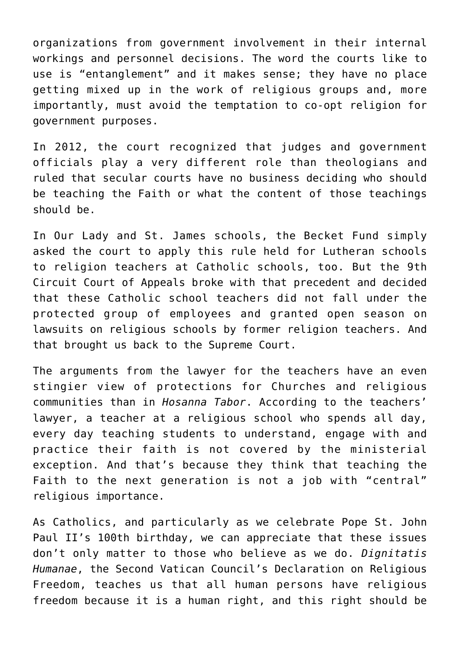organizations from government involvement in their internal workings and personnel decisions. The word the courts like to use is "entanglement" and it makes sense; they have no place getting mixed up in the work of religious groups and, more importantly, must avoid the temptation to co-opt religion for government purposes.

In 2012, the court recognized that judges and government officials play a very different role than theologians and ruled that secular courts have no business deciding who should be teaching the Faith or what the content of those teachings should be.

In Our Lady and St. James schools, the Becket Fund simply asked the court to apply this rule held for Lutheran schools to religion teachers at Catholic schools, too. But the 9th Circuit Court of Appeals broke with that precedent and decided that these Catholic school teachers did not fall under the protected group of employees and granted open season on lawsuits on religious schools by former religion teachers. And that brought us back to the Supreme Court.

The arguments from the lawyer for the teachers have an even stingier view of protections for Churches and religious communities than in *Hosanna Tabor*. According to the teachers' lawyer, a teacher at a religious school who spends all day, every day teaching students to understand, engage with and practice their faith is not covered by the ministerial exception. And that's because they think that teaching the Faith to the next generation is not a job with "central" religious importance.

As Catholics, and particularly as we celebrate Pope St. John Paul II's 100th birthday, we can appreciate that these issues don't only matter to those who believe as we do. *Dignitatis Humanae*, the Second Vatican Council's Declaration on Religious Freedom, teaches us that all human persons have religious freedom because it is a human right, and this right should be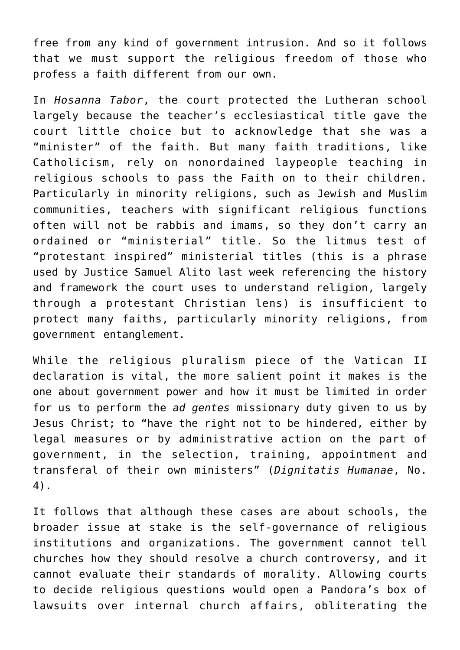free from any kind of government intrusion. And so it follows that we must support the religious freedom of those who profess a faith different from our own.

In *Hosanna Tabor*, the court protected the Lutheran school largely because the teacher's ecclesiastical title gave the court little choice but to acknowledge that she was a "minister" of the faith. But many faith traditions, like Catholicism, rely on nonordained laypeople teaching in religious schools to pass the Faith on to their children. Particularly in minority religions, such as Jewish and Muslim communities, teachers with significant religious functions often will not be rabbis and imams, so they don't carry an ordained or "ministerial" title. So the litmus test of "protestant inspired" ministerial titles (this is a phrase used by Justice Samuel Alito last week referencing the history and framework the court uses to understand religion, largely through a protestant Christian lens) is insufficient to protect many faiths, particularly minority religions, from government entanglement.

While the religious pluralism piece of the Vatican II declaration is vital, the more salient point it makes is the one about government power and how it must be limited in order for us to perform the *ad gentes* missionary duty given to us by Jesus Christ; to "have the right not to be hindered, either by legal measures or by administrative action on the part of government, in the selection, training, appointment and transferal of their own ministers" (*Dignitatis Humanae*, No. 4).

It follows that although these cases are about schools, the broader issue at stake is the self-governance of religious institutions and organizations. The government cannot tell churches how they should resolve a church controversy, and it cannot evaluate their standards of morality. Allowing courts to decide religious questions would open a Pandora's box of lawsuits over internal church affairs, obliterating the